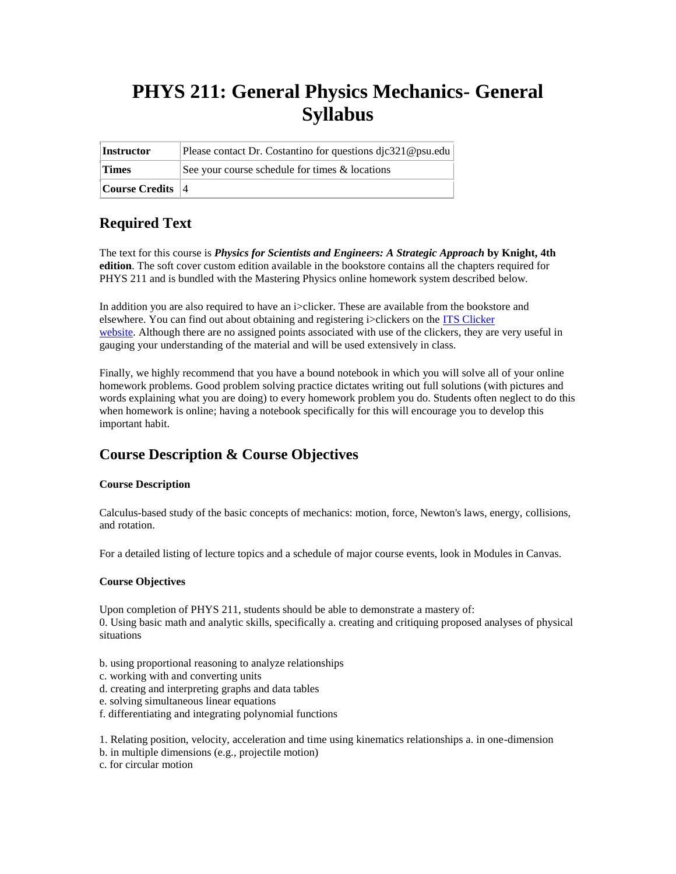# **PHYS 211: General Physics Mechanics- General Syllabus**

| Instructor           | Please contact Dr. Costantino for questions djc321@psu.edu |
|----------------------|------------------------------------------------------------|
| <b>Times</b>         | See your course schedule for times & locations             |
| Course Credits $ 4 $ |                                                            |

# **Required Text**

The text for this course is *Physics for Scientists and Engineers: A Strategic Approach* **by Knight, 4th edition**. The soft cover custom edition available in the bookstore contains all the chapters required for PHYS 211 and is bundled with the Mastering Physics online homework system described below.

In addition you are also required to have an i>clicker. These are available from the bookstore and elsewhere. You can find out about obtaining and registering i>clickers on the [ITS Clicker](http://www.clickers.psu.edu/)  [website.](http://www.clickers.psu.edu/) Although there are no assigned points associated with use of the clickers, they are very useful in gauging your understanding of the material and will be used extensively in class.

Finally, we highly recommend that you have a bound notebook in which you will solve all of your online homework problems. Good problem solving practice dictates writing out full solutions (with pictures and words explaining what you are doing) to every homework problem you do. Students often neglect to do this when homework is online; having a notebook specifically for this will encourage you to develop this important habit.

# **Course Description & Course Objectives**

### **Course Description**

Calculus-based study of the basic concepts of mechanics: motion, force, Newton's laws, energy, collisions, and rotation.

For a detailed listing of lecture topics and a schedule of major course events, look in Modules in Canvas.

### **Course Objectives**

Upon completion of PHYS 211, students should be able to demonstrate a mastery of: 0. Using basic math and analytic skills, specifically a. creating and critiquing proposed analyses of physical situations

- b. using proportional reasoning to analyze relationships
- c. working with and converting units
- d. creating and interpreting graphs and data tables
- e. solving simultaneous linear equations
- f. differentiating and integrating polynomial functions

1. Relating position, velocity, acceleration and time using kinematics relationships a. in one-dimension

b. in multiple dimensions (e.g., projectile motion)

c. for circular motion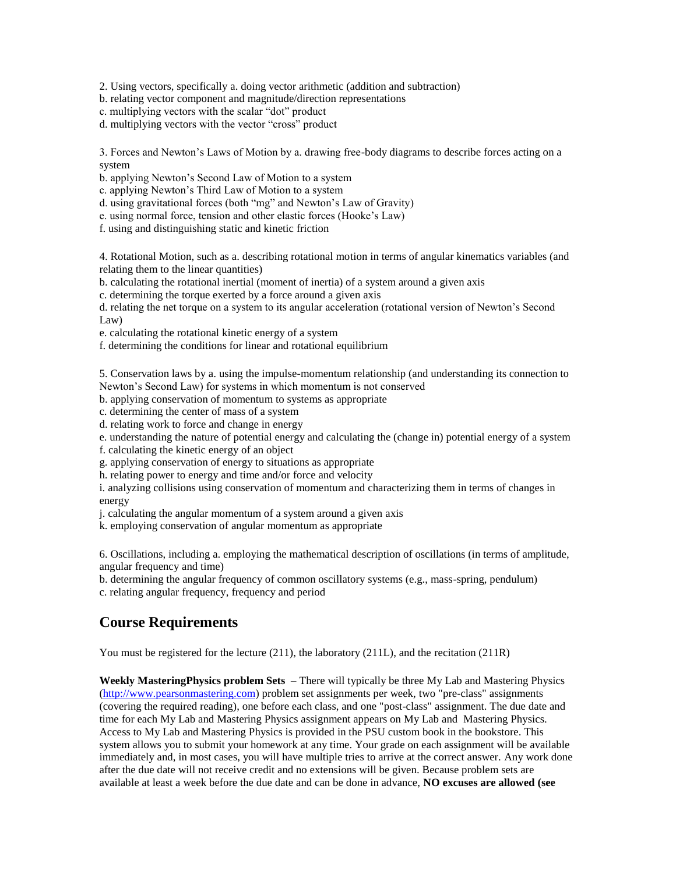2. Using vectors, specifically a. doing vector arithmetic (addition and subtraction)

b. relating vector component and magnitude/direction representations

c. multiplying vectors with the scalar "dot" product

d. multiplying vectors with the vector "cross" product

3. Forces and Newton's Laws of Motion by a. drawing free-body diagrams to describe forces acting on a system

b. applying Newton's Second Law of Motion to a system

c. applying Newton's Third Law of Motion to a system

d. using gravitational forces (both "mg" and Newton's Law of Gravity)

e. using normal force, tension and other elastic forces (Hooke's Law)

f. using and distinguishing static and kinetic friction

4. Rotational Motion, such as a. describing rotational motion in terms of angular kinematics variables (and relating them to the linear quantities)

b. calculating the rotational inertial (moment of inertia) of a system around a given axis

c. determining the torque exerted by a force around a given axis

d. relating the net torque on a system to its angular acceleration (rotational version of Newton's Second Law)

e. calculating the rotational kinetic energy of a system

f. determining the conditions for linear and rotational equilibrium

5. Conservation laws by a. using the impulse-momentum relationship (and understanding its connection to Newton's Second Law) for systems in which momentum is not conserved

b. applying conservation of momentum to systems as appropriate

c. determining the center of mass of a system

d. relating work to force and change in energy

e. understanding the nature of potential energy and calculating the (change in) potential energy of a system f. calculating the kinetic energy of an object

g. applying conservation of energy to situations as appropriate

h. relating power to energy and time and/or force and velocity

i. analyzing collisions using conservation of momentum and characterizing them in terms of changes in energy

j. calculating the angular momentum of a system around a given axis

k. employing conservation of angular momentum as appropriate

6. Oscillations, including a. employing the mathematical description of oscillations (in terms of amplitude, angular frequency and time)

b. determining the angular frequency of common oscillatory systems (e.g., mass-spring, pendulum) c. relating angular frequency, frequency and period

### **Course Requirements**

You must be registered for the lecture  $(211)$ , the laboratory  $(211L)$ , and the recitation  $(211R)$ 

**Weekly MasteringPhysics problem Sets** – There will typically be three My Lab and Mastering Physics [\(http://www.pearsonmastering.com\)](http://www.pearsonmastering.com/) problem set assignments per week, two "pre-class" assignments (covering the required reading), one before each class, and one "post-class" assignment. The due date and time for each My Lab and Mastering Physics assignment appears on My Lab and Mastering Physics. Access to My Lab and Mastering Physics is provided in the PSU custom book in the bookstore. This system allows you to submit your homework at any time. Your grade on each assignment will be available immediately and, in most cases, you will have multiple tries to arrive at the correct answer. Any work done after the due date will not receive credit and no extensions will be given. Because problem sets are available at least a week before the due date and can be done in advance, **NO excuses are allowed (see**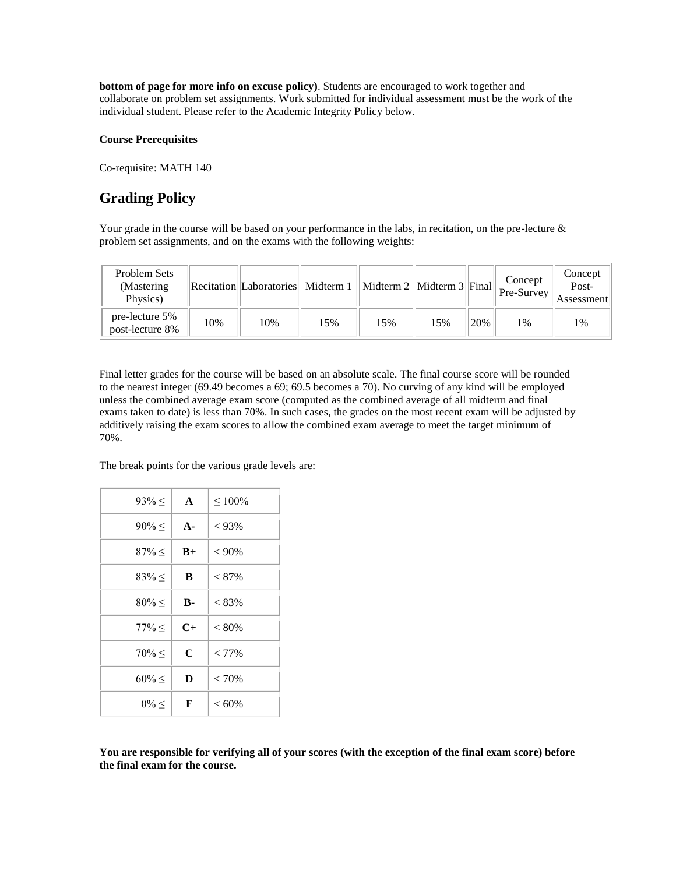**bottom of page for more info on excuse policy)**. Students are encouraged to work together and collaborate on problem set assignments. Work submitted for individual assessment must be the work of the individual student. Please refer to the Academic Integrity Policy below.

#### **Course Prerequisites**

Co-requisite: MATH 140

# **Grading Policy**

Your grade in the course will be based on your performance in the labs, in recitation, on the pre-lecture & problem set assignments, and on the exams with the following weights:

| Problem Sets<br>(Mastering)<br>Physics) |     | Recitation  Laboratories   Midterm 1 |     | Midterm 2   Midterm 3   Final |     |     | Concept<br>Pre-Survey | Concept<br>Post-<br>Assessment |
|-----------------------------------------|-----|--------------------------------------|-----|-------------------------------|-----|-----|-----------------------|--------------------------------|
| pre-lecture 5%<br>post-lecture 8%       | 10% | 10%                                  | 15% | 15%                           | 15% | 20% | 1%                    | 1%                             |

Final letter grades for the course will be based on an absolute scale. The final course score will be rounded to the nearest integer (69.49 becomes a 69; 69.5 becomes a 70). No curving of any kind will be employed unless the combined average exam score (computed as the combined average of all midterm and final exams taken to date) is less than 70%. In such cases, the grades on the most recent exam will be adjusted by additively raising the exam scores to allow the combined exam average to meet the target minimum of 70%.

The break points for the various grade levels are:

| $93\% \leq$ | $\mathbf{A}$ | $\leq 100\%$ |
|-------------|--------------|--------------|
| $90\% \leq$ | $A -$        | $< 93\%$     |
| $87\% \leq$ | $B+$         | $< 90\%$     |
| $83\% <$    | B            | $< 87\%$     |
| $80\% \leq$ | <b>B-</b>    | $< 83\%$     |
| $77\% \leq$ | $C+$         | $< 80\%$     |
| $70\% \leq$ | C            | $< 77\%$     |
| $60\% \leq$ | D            | < 70%        |
| $0\% \leq$  | F            | $<60\%$      |

**You are responsible for verifying all of your scores (with the exception of the final exam score) before the final exam for the course.**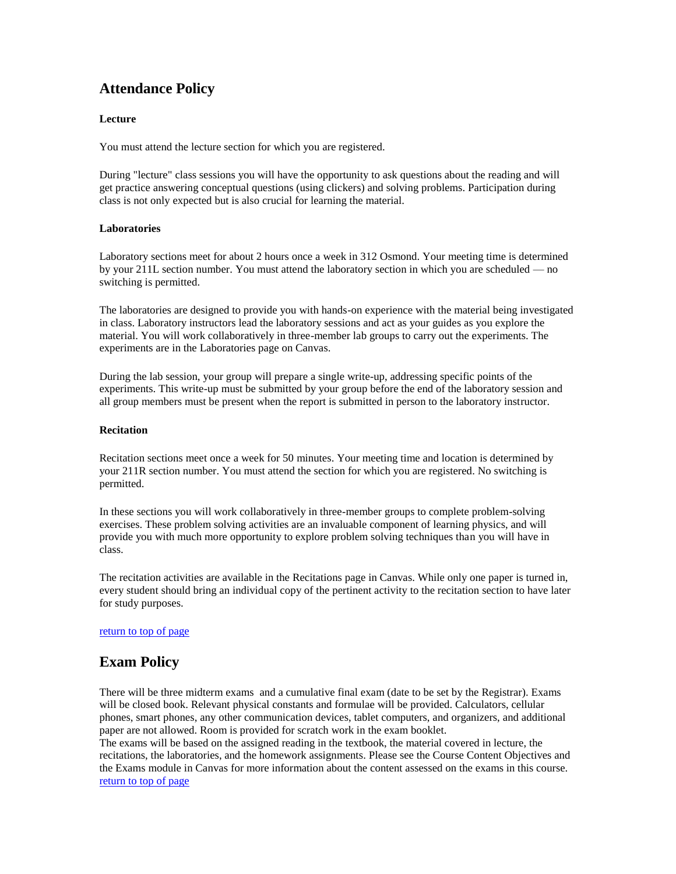# **Attendance Policy**

### **Lecture**

You must attend the lecture section for which you are registered.

During "lecture" class sessions you will have the opportunity to ask questions about the reading and will get practice answering conceptual questions (using clickers) and solving problems. Participation during class is not only expected but is also crucial for learning the material.

### **Laboratories**

Laboratory sections meet for about 2 hours once a week in 312 Osmond. Your meeting time is determined by your 211L section number. You must attend the laboratory section in which you are scheduled — no switching is permitted.

The laboratories are designed to provide you with hands-on experience with the material being investigated in class. Laboratory instructors lead the laboratory sessions and act as your guides as you explore the material. You will work collaboratively in three-member lab groups to carry out the experiments. The experiments are in the Laboratories page on Canvas.

During the lab session, your group will prepare a single write-up, addressing specific points of the experiments. This write-up must be submitted by your group before the end of the laboratory session and all group members must be present when the report is submitted in person to the laboratory instructor.

#### **Recitation**

Recitation sections meet once a week for 50 minutes. Your meeting time and location is determined by your 211R section number. You must attend the section for which you are registered. No switching is permitted.

In these sections you will work collaboratively in three-member groups to complete problem-solving exercises. These problem solving activities are an invaluable component of learning physics, and will provide you with much more opportunity to explore problem solving techniques than you will have in class.

The recitation activities are available in the Recitations page in Canvas. While only one paper is turned in, every student should bring an individual copy of the pertinent activity to the recitation section to have later for study purposes.

### return to top of page

### **Exam Policy**

There will be three midterm exams and a cumulative final exam (date to be set by the Registrar). Exams will be closed book. Relevant physical constants and formulae will be provided. Calculators, cellular phones, smart phones, any other communication devices, tablet computers, and organizers, and additional paper are not allowed. Room is provided for scratch work in the exam booklet.

The exams will be based on the assigned reading in the textbook, the material covered in lecture, the recitations, the laboratories, and the homework assignments. Please see the Course Content Objectives and the Exams module in Canvas for more information about the content assessed on the exams in this course. return to top of page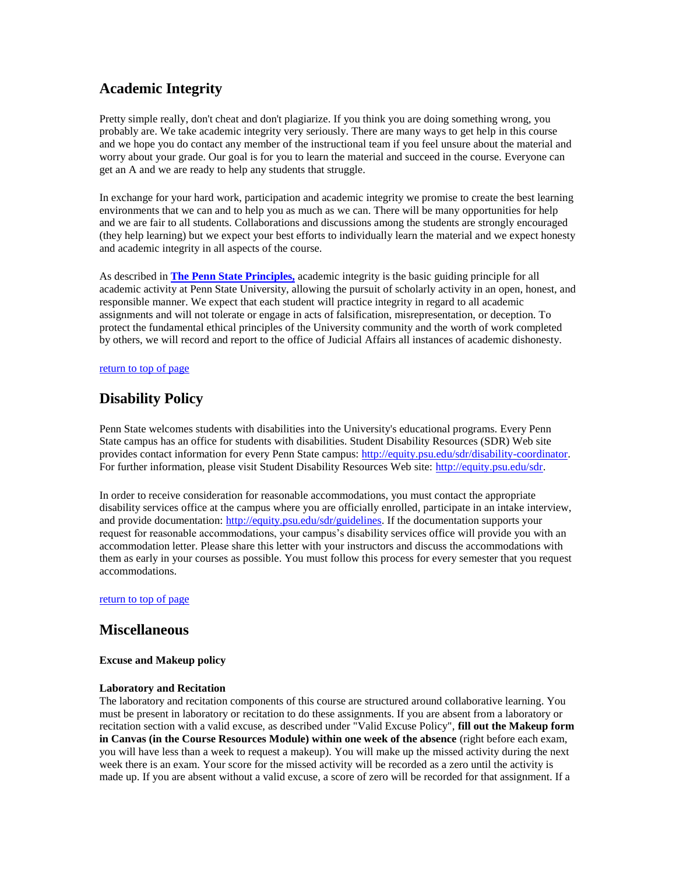# **Academic Integrity**

Pretty simple really, don't cheat and don't plagiarize. If you think you are doing something wrong, you probably are. We take academic integrity very seriously. There are many ways to get help in this course and we hope you do contact any member of the instructional team if you feel unsure about the material and worry about your grade. Our goal is for you to learn the material and succeed in the course. Everyone can get an A and we are ready to help any students that struggle.

In exchange for your hard work, participation and academic integrity we promise to create the best learning environments that we can and to help you as much as we can. There will be many opportunities for help and we are fair to all students. Collaborations and discussions among the students are strongly encouraged (they help learning) but we expect your best efforts to individually learn the material and we expect honesty and academic integrity in all aspects of the course.

As described in **[The Penn State Principles,](http://www.psu.edu/this-is-penn-state/penn-state-principles)** academic integrity is the basic guiding principle for all academic activity at Penn State University, allowing the pursuit of scholarly activity in an open, honest, and responsible manner. We expect that each student will practice integrity in regard to all academic assignments and will not tolerate or engage in acts of falsification, misrepresentation, or deception. To protect the fundamental ethical principles of the University community and the worth of work completed by others, we will record and report to the office of Judicial Affairs all instances of academic dishonesty.

#### return to top of page

# **Disability Policy**

Penn State welcomes students with disabilities into the University's educational programs. Every Penn State campus has an office for students with disabilities. Student Disability Resources (SDR) Web site provides contact information for every Penn State campus[: http://equity.psu.edu/sdr/disability-coordinator.](http://equity.psu.edu/sdr/disability-coordinator)  For further information, please visit Student Disability Resources Web site: [http://equity.psu.edu/sdr.](http://equity.psu.edu/sdr)

In order to receive consideration for reasonable accommodations, you must contact the appropriate disability services office at the campus where you are officially enrolled, participate in an intake interview, and provide documentation: [http://equity.psu.edu/sdr/guidelines.](http://equity.psu.edu/sdr/guidelines) If the documentation supports your request for reasonable accommodations, your campus's disability services office will provide you with an accommodation letter. Please share this letter with your instructors and discuss the accommodations with them as early in your courses as possible. You must follow this process for every semester that you request accommodations.

return to top of page

### **Miscellaneous**

### **Excuse and Makeup policy**

### **Laboratory and Recitation**

The laboratory and recitation components of this course are structured around collaborative learning. You must be present in laboratory or recitation to do these assignments. If you are absent from a laboratory or recitation section with a valid excuse, as described under "Valid Excuse Policy", **fill out the Makeup form in Canvas (in the Course Resources Module) within one week of the absence** (right before each exam, you will have less than a week to request a makeup). You will make up the missed activity during the next week there is an exam. Your score for the missed activity will be recorded as a zero until the activity is made up. If you are absent without a valid excuse, a score of zero will be recorded for that assignment. If a